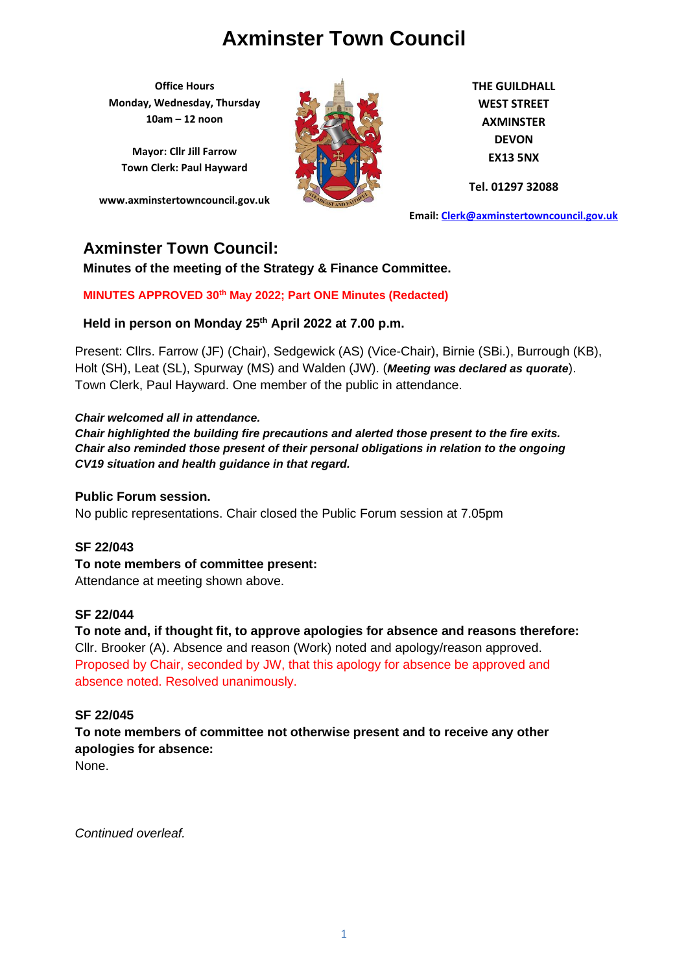**Office Hours Monday, Wednesday, Thursday 10am – 12 noon**

**Mayor: Cllr Jill Farrow Town Clerk: Paul Hayward**

**www.axminstertowncouncil.gov.uk**



**THE GUILDHALL WEST STREET AXMINSTER DEVON EX13 5NX**

**Tel. 01297 32088**

**Email: [Clerk@axminstertowncouncil.gov.uk](file://///axm-svr-1/company/Templates/Clerk@axminstertowncouncil.gov.uk)**

## **Axminster Town Council:**

**Minutes of the meeting of the Strategy & Finance Committee.**

**MINUTES APPROVED 30th May 2022; Part ONE Minutes (Redacted)**

**Held in person on Monday 25 th April 2022 at 7.00 p.m.**

Present: Cllrs. Farrow (JF) (Chair), Sedgewick (AS) (Vice-Chair), Birnie (SBi.), Burrough (KB), Holt (SH), Leat (SL), Spurway (MS) and Walden (JW). (*Meeting was declared as quorate*). Town Clerk, Paul Hayward. One member of the public in attendance.

### *Chair welcomed all in attendance.*

*Chair highlighted the building fire precautions and alerted those present to the fire exits. Chair also reminded those present of their personal obligations in relation to the ongoing CV19 situation and health guidance in that regard.*

#### **Public Forum session.**

No public representations. Chair closed the Public Forum session at 7.05pm

## **SF 22/043**

**To note members of committee present:**

Attendance at meeting shown above.

#### **SF 22/044**

**To note and, if thought fit, to approve apologies for absence and reasons therefore:** Cllr. Brooker (A). Absence and reason (Work) noted and apology/reason approved. Proposed by Chair, seconded by JW, that this apology for absence be approved and absence noted. Resolved unanimously.

## **SF 22/045**

**To note members of committee not otherwise present and to receive any other apologies for absence:**

None.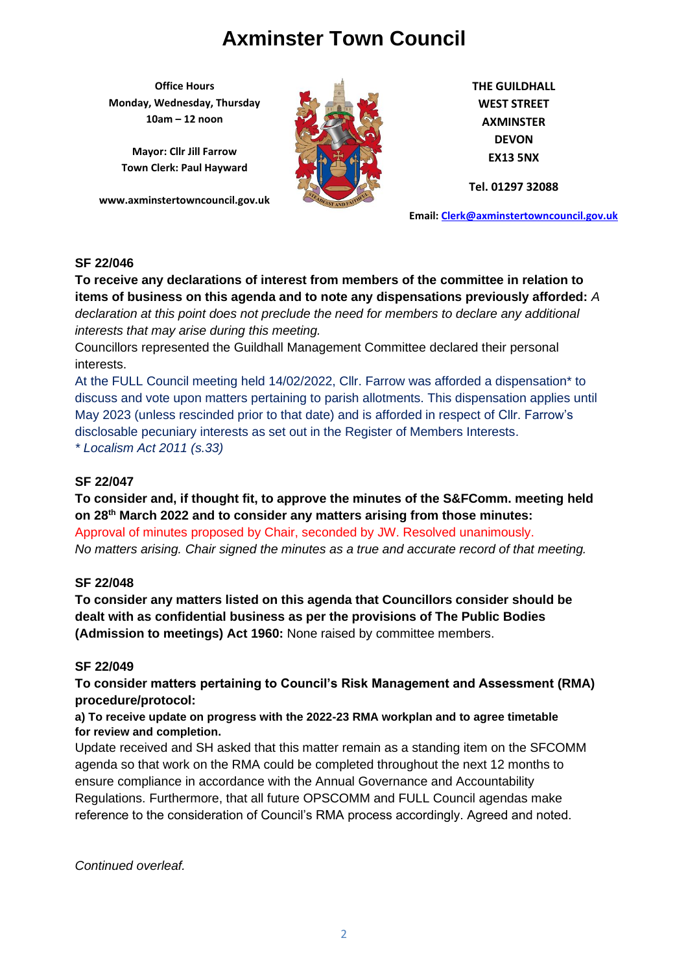**Office Hours Monday, Wednesday, Thursday 10am – 12 noon**

**Mayor: Cllr Jill Farrow Town Clerk: Paul Hayward**

**www.axminstertowncouncil.gov.uk**



**THE GUILDHALL WEST STREET AXMINSTER DEVON EX13 5NX**

**Tel. 01297 32088**

**Email: [Clerk@axminstertowncouncil.gov.uk](file://///axm-svr-1/company/Templates/Clerk@axminstertowncouncil.gov.uk)**

### **SF 22/046**

declaration at this point does not preclude the need for members to declare any additional **declare** any additional **To receive any declarations of interest from members of the committee in relation to items of business on this agenda and to note any dispensations previously afforded:** *A interests that may arise during this meeting.*

Councillors represented the Guildhall Management Committee declared their personal interests.

At the FULL Council meeting held 14/02/2022, Cllr. Farrow was afforded a dispensation\* to discuss and vote upon matters pertaining to parish allotments. This dispensation applies until May 2023 (unless rescinded prior to that date) and is afforded in respect of Cllr. Farrow's disclosable pecuniary interests as set out in the Register of Members Interests. *\* Localism Act 2011 (s.33)*

## **SF 22/047**

**To consider and, if thought fit, to approve the minutes of the S&FComm. meeting held on 28th March 2022 and to consider any matters arising from those minutes:**

Approval of minutes proposed by Chair, seconded by JW. Resolved unanimously. *No matters arising. Chair signed the minutes as a true and accurate record of that meeting.*

## **SF 22/048**

**To consider any matters listed on this agenda that Councillors consider should be dealt with as confidential business as per the provisions of The Public Bodies (Admission to meetings) Act 1960:** None raised by committee members.

## **SF 22/049**

**To consider matters pertaining to Council's Risk Management and Assessment (RMA) procedure/protocol:**

**a) To receive update on progress with the 2022-23 RMA workplan and to agree timetable for review and completion.**

Update received and SH asked that this matter remain as a standing item on the SFCOMM agenda so that work on the RMA could be completed throughout the next 12 months to ensure compliance in accordance with the Annual Governance and Accountability Regulations. Furthermore, that all future OPSCOMM and FULL Council agendas make reference to the consideration of Council's RMA process accordingly. Agreed and noted.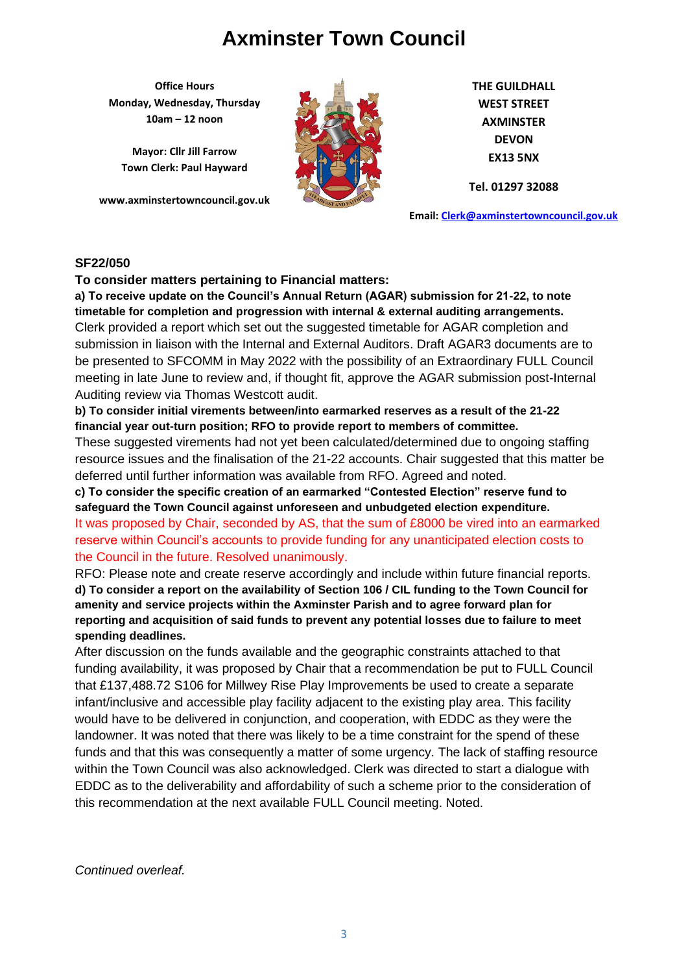**Office Hours Monday, Wednesday, Thursday 10am – 12 noon**

**Mayor: Cllr Jill Farrow Town Clerk: Paul Hayward**

**www.axminstertowncouncil.gov.uk**



**THE GUILDHALL WEST STREET AXMINSTER DEVON EX13 5NX**

**Tel. 01297 32088**

**Email: [Clerk@axminstertowncouncil.gov.uk](file://///axm-svr-1/company/Templates/Clerk@axminstertowncouncil.gov.uk)**

### **SF22/050**

**To consider matters pertaining to Financial matters:**

Clerk provided a report which set out the suggested timetable for AGAR completion and **a) To receive update on the Council's Annual Return (AGAR) submission for 21-22, to note timetable for completion and progression with internal & external auditing arrangements.** submission in liaison with the Internal and External Auditors. Draft AGAR3 documents are to be presented to SFCOMM in May 2022 with the possibility of an Extraordinary FULL Council meeting in late June to review and, if thought fit, approve the AGAR submission post-Internal Auditing review via Thomas Westcott audit.

**b) To consider initial virements between/into earmarked reserves as a result of the 21-22 financial year out-turn position; RFO to provide report to members of committee.**

These suggested virements had not yet been calculated/determined due to ongoing staffing resource issues and the finalisation of the 21-22 accounts. Chair suggested that this matter be deferred until further information was available from RFO. Agreed and noted.

**c) To consider the specific creation of an earmarked "Contested Election" reserve fund to safeguard the Town Council against unforeseen and unbudgeted election expenditure.** It was proposed by Chair, seconded by AS, that the sum of £8000 be vired into an earmarked reserve within Council's accounts to provide funding for any unanticipated election costs to the Council in the future. Resolved unanimously.

RFO: Please note and create reserve accordingly and include within future financial reports. **d) To consider a report on the availability of Section 106 / CIL funding to the Town Council for amenity and service projects within the Axminster Parish and to agree forward plan for reporting and acquisition of said funds to prevent any potential losses due to failure to meet spending deadlines.**

After discussion on the funds available and the geographic constraints attached to that funding availability, it was proposed by Chair that a recommendation be put to FULL Council that £137,488.72 S106 for Millwey Rise Play Improvements be used to create a separate infant/inclusive and accessible play facility adjacent to the existing play area. This facility would have to be delivered in conjunction, and cooperation, with EDDC as they were the landowner. It was noted that there was likely to be a time constraint for the spend of these funds and that this was consequently a matter of some urgency. The lack of staffing resource within the Town Council was also acknowledged. Clerk was directed to start a dialogue with EDDC as to the deliverability and affordability of such a scheme prior to the consideration of this recommendation at the next available FULL Council meeting. Noted.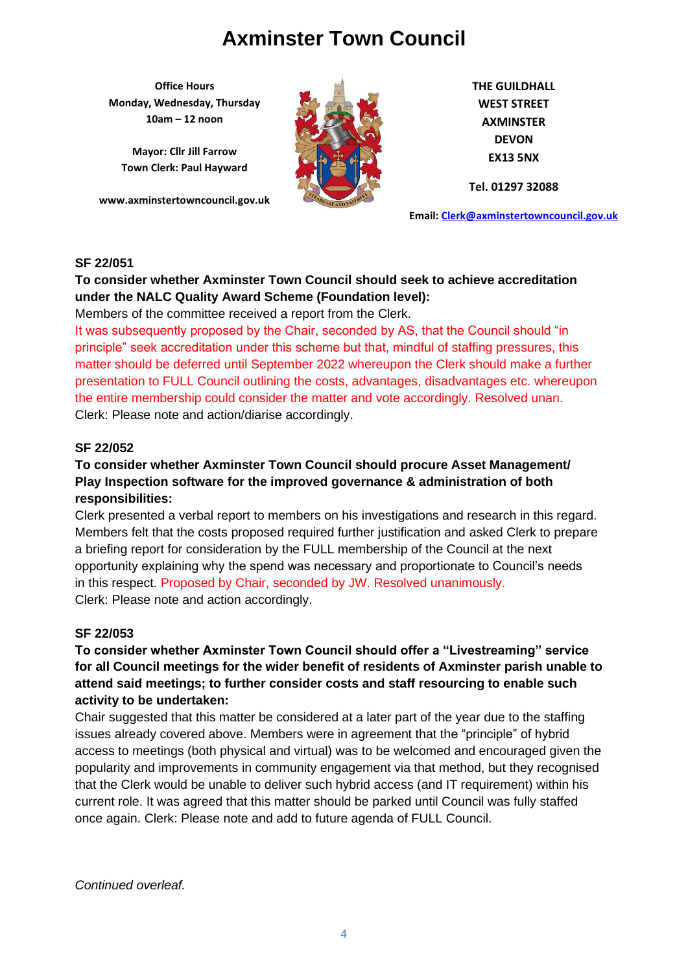**Office Hours Monday, Wednesday, Thursday 10am – 12 noon**

**Mayor: Cllr Jill Farrow Town Clerk: Paul Hayward**

**www.axminstertowncouncil.gov.uk**



**THE GUILDHALL WEST STREET AXMINSTER DEVON EX13 5NX**

**Tel. 01297 32088**

**Email: [Clerk@axminstertowncouncil.gov.uk](file://///axm-svr-1/company/Templates/Clerk@axminstertowncouncil.gov.uk)**

#### **SF 22/051**

## **To consider whether Axminster Town Council should seek to achieve accreditation under the NALC Quality Award Scheme (Foundation level):**

Members of the committee received a report from the Clerk.

**TEL:** 01297 32088 It was subsequently proposed by the Chair, seconded by AS, that the Council should "in principle" seek accreditation under this scheme but that, mindful of staffing pressures, this matter should be deferred until September 2022 whereupon the Clerk should make a further presentation to FULL Council outlining the costs, advantages, disadvantages etc. whereupon the entire membership could consider the matter and vote accordingly. Resolved unan. Clerk: Please note and action/diarise accordingly.

### **SF 22/052**

## **To consider whether Axminster Town Council should procure Asset Management/ Play Inspection software for the improved governance & administration of both responsibilities:**

Clerk presented a verbal report to members on his investigations and research in this regard. Members felt that the costs proposed required further justification and asked Clerk to prepare a briefing report for consideration by the FULL membership of the Council at the next opportunity explaining why the spend was necessary and proportionate to Council's needs in this respect. Proposed by Chair, seconded by JW. Resolved unanimously. Clerk: Please note and action accordingly.

#### **SF 22/053**

## **To consider whether Axminster Town Council should offer a "Livestreaming" service for all Council meetings for the wider benefit of residents of Axminster parish unable to attend said meetings; to further consider costs and staff resourcing to enable such activity to be undertaken:**

Chair suggested that this matter be considered at a later part of the year due to the staffing issues already covered above. Members were in agreement that the "principle" of hybrid access to meetings (both physical and virtual) was to be welcomed and encouraged given the popularity and improvements in community engagement via that method, but they recognised that the Clerk would be unable to deliver such hybrid access (and IT requirement) within his current role. It was agreed that this matter should be parked until Council was fully staffed once again. Clerk: Please note and add to future agenda of FULL Council.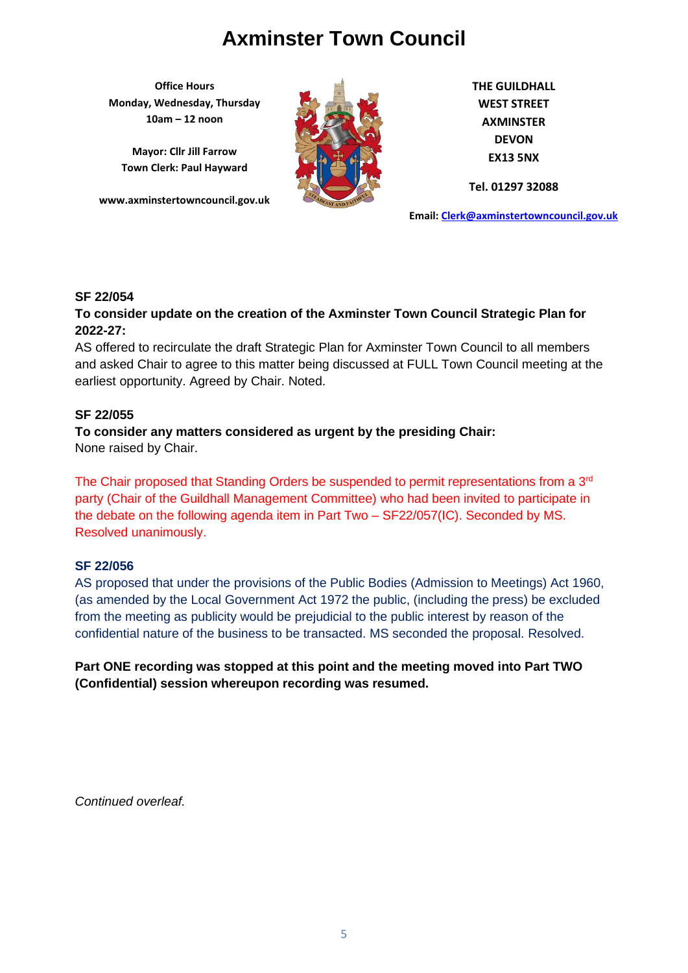**Office Hours Monday, Wednesday, Thursday 10am – 12 noon**

**Mayor: Cllr Jill Farrow Town Clerk: Paul Hayward**

**www.axminstertowncouncil.gov.uk**



**THE GUILDHALL WEST STREET AXMINSTER DEVON EX13 5NX**

**Tel. 01297 32088**

**Email: [Clerk@axminstertowncouncil.gov.uk](file://///axm-svr-1/company/Templates/Clerk@axminstertowncouncil.gov.uk)**

### **SF 22/054**

## **TEL: 01297 32088 To consider update on the creation of the Axminster Town Council Strategic Plan for 2022-27:**

AS offered to recirculate the draft Strategic Plan for Axminster Town Council to all members and asked Chair to agree to this matter being discussed at FULL Town Council meeting at the earliest opportunity. Agreed by Chair. Noted.

### **SF 22/055**

**To consider any matters considered as urgent by the presiding Chair:** None raised by Chair.

The Chair proposed that Standing Orders be suspended to permit representations from a 3<sup>rd</sup> party (Chair of the Guildhall Management Committee) who had been invited to participate in the debate on the following agenda item in Part Two – SF22/057(IC). Seconded by MS. Resolved unanimously.

## **SF 22/056**

AS proposed that under the provisions of the Public Bodies (Admission to Meetings) Act 1960, (as amended by the Local Government Act 1972 the public, (including the press) be excluded from the meeting as publicity would be prejudicial to the public interest by reason of the confidential nature of the business to be transacted. MS seconded the proposal. Resolved.

**Part ONE recording was stopped at this point and the meeting moved into Part TWO (Confidential) session whereupon recording was resumed.**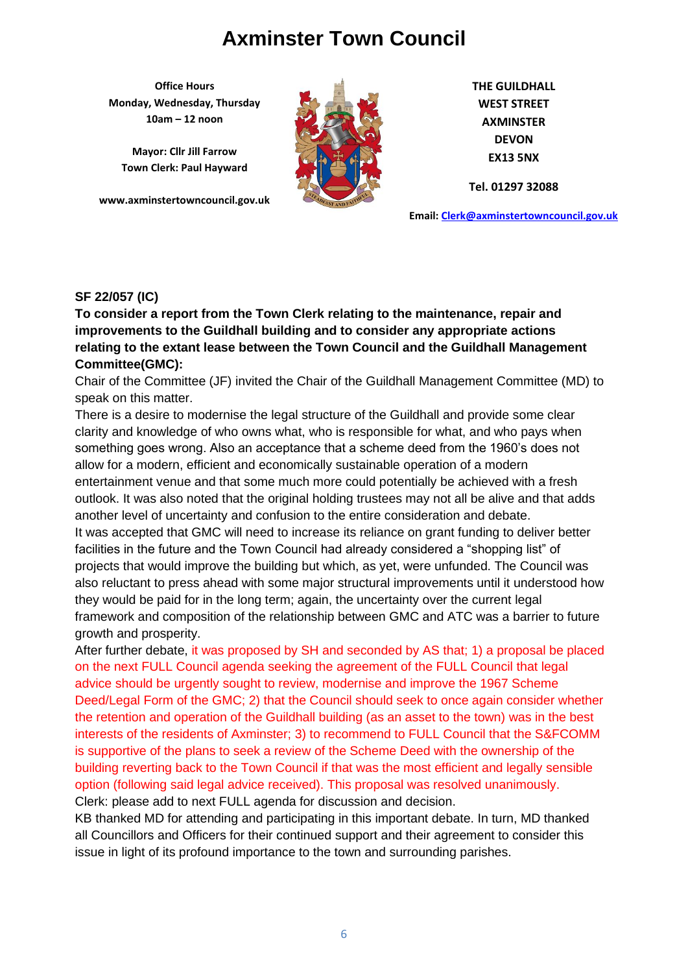**Office Hours Monday, Wednesday, Thursday 10am – 12 noon**

**Mayor: Cllr Jill Farrow Town Clerk: Paul Hayward**

**www.axminstertowncouncil.gov.uk**



**THE GUILDHALL WEST STREET AXMINSTER DEVON EX13 5NX**

**Tel. 01297 32088**

**Email: [Clerk@axminstertowncouncil.gov.uk](file://///axm-svr-1/company/Templates/Clerk@axminstertowncouncil.gov.uk)**

### **SF 22/057 (IC)**

anoo, ropan and **To consider a report from the Town Clerk relating to the maintenance, repair and improvements to the Guildhall building and to consider any appropriate actions relating to the extant lease between the Town Council and the Guildhall Management Committee(GMC):**

Chair of the Committee (JF) invited the Chair of the Guildhall Management Committee (MD) to speak on this matter.

There is a desire to modernise the legal structure of the Guildhall and provide some clear clarity and knowledge of who owns what, who is responsible for what, and who pays when something goes wrong. Also an acceptance that a scheme deed from the 1960's does not allow for a modern, efficient and economically sustainable operation of a modern entertainment venue and that some much more could potentially be achieved with a fresh outlook. It was also noted that the original holding trustees may not all be alive and that adds another level of uncertainty and confusion to the entire consideration and debate. It was accepted that GMC will need to increase its reliance on grant funding to deliver better facilities in the future and the Town Council had already considered a "shopping list" of projects that would improve the building but which, as yet, were unfunded. The Council was also reluctant to press ahead with some major structural improvements until it understood how they would be paid for in the long term; again, the uncertainty over the current legal framework and composition of the relationship between GMC and ATC was a barrier to future growth and prosperity.

After further debate, it was proposed by SH and seconded by AS that; 1) a proposal be placed on the next FULL Council agenda seeking the agreement of the FULL Council that legal advice should be urgently sought to review, modernise and improve the 1967 Scheme Deed/Legal Form of the GMC; 2) that the Council should seek to once again consider whether the retention and operation of the Guildhall building (as an asset to the town) was in the best interests of the residents of Axminster; 3) to recommend to FULL Council that the S&FCOMM is supportive of the plans to seek a review of the Scheme Deed with the ownership of the building reverting back to the Town Council if that was the most efficient and legally sensible option (following said legal advice received). This proposal was resolved unanimously. Clerk: please add to next FULL agenda for discussion and decision.

KB thanked MD for attending and participating in this important debate. In turn, MD thanked all Councillors and Officers for their continued support and their agreement to consider this issue in light of its profound importance to the town and surrounding parishes.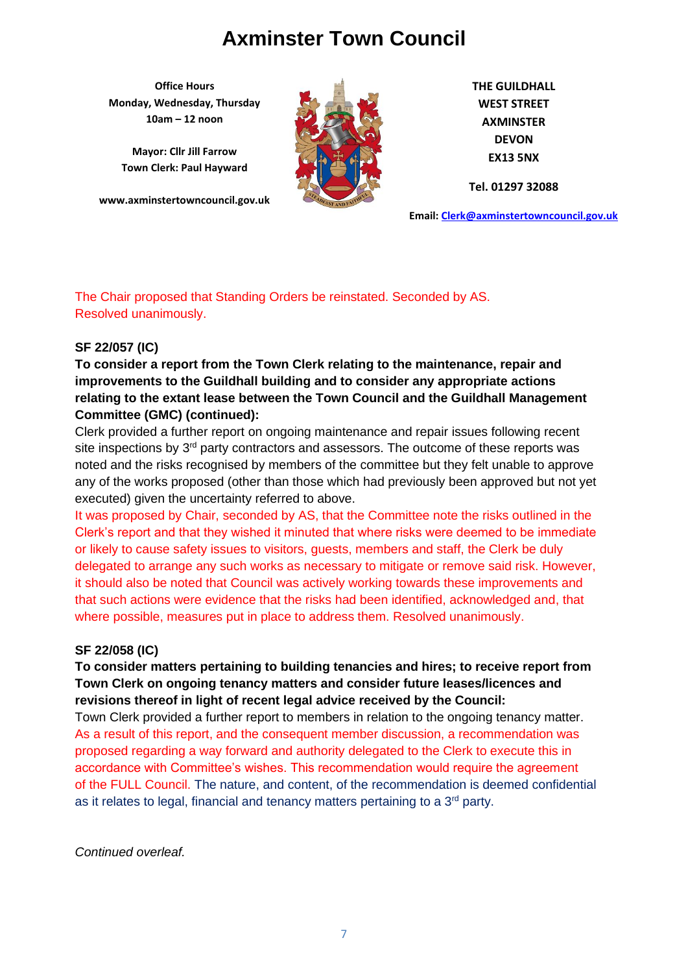**Office Hours Monday, Wednesday, Thursday 10am – 12 noon**

**Mayor: Cllr Jill Farrow Town Clerk: Paul Hayward**

**www.axminstertowncouncil.gov.uk**



**THE GUILDHALL WEST STREET AXMINSTER DEVON EX13 5NX**

**Tel. 01297 32088**

**Email: [Clerk@axminstertowncouncil.gov.uk](file://///axm-svr-1/company/Templates/Clerk@axminstertowncouncil.gov.uk)**

## The Chair proposed that Standing Orders be reinstated. Seconded by AS. Resolved unanimously.

## **SF 22/057 (IC)**

**To consider a report from the Town Clerk relating to the maintenance, repair and improvements to the Guildhall building and to consider any appropriate actions relating to the extant lease between the Town Council and the Guildhall Management Committee (GMC) (continued):**

Clerk provided a further report on ongoing maintenance and repair issues following recent site inspections by  $3<sup>rd</sup>$  party contractors and assessors. The outcome of these reports was noted and the risks recognised by members of the committee but they felt unable to approve any of the works proposed (other than those which had previously been approved but not yet executed) given the uncertainty referred to above.

It was proposed by Chair, seconded by AS, that the Committee note the risks outlined in the Clerk's report and that they wished it minuted that where risks were deemed to be immediate or likely to cause safety issues to visitors, guests, members and staff, the Clerk be duly delegated to arrange any such works as necessary to mitigate or remove said risk. However, it should also be noted that Council was actively working towards these improvements and that such actions were evidence that the risks had been identified, acknowledged and, that where possible, measures put in place to address them. Resolved unanimously.

## **SF 22/058 (IC)**

## **To consider matters pertaining to building tenancies and hires; to receive report from Town Clerk on ongoing tenancy matters and consider future leases/licences and revisions thereof in light of recent legal advice received by the Council:**

Town Clerk provided a further report to members in relation to the ongoing tenancy matter. As a result of this report, and the consequent member discussion, a recommendation was proposed regarding a way forward and authority delegated to the Clerk to execute this in accordance with Committee's wishes. This recommendation would require the agreement of the FULL Council. The nature, and content, of the recommendation is deemed confidential as it relates to legal, financial and tenancy matters pertaining to a 3<sup>rd</sup> party.